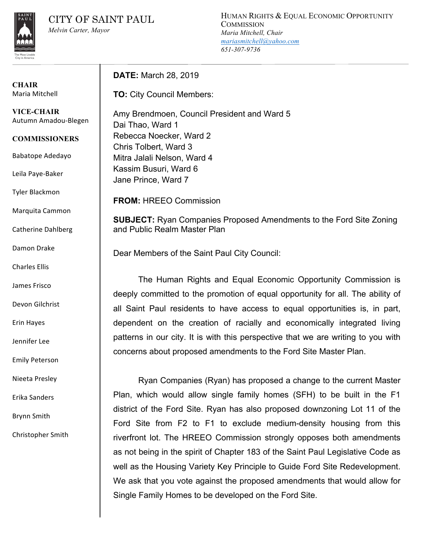HUMAN RIGHTS & EQUAL ECONOMIC OPPORTUNITY **COMMISSION** *Maria Mitchell, Chair mariasmitchell@yahoo.com 651-307-9736*

**CHAIR** Maria Mitchell

**VICE-CHAIR** Autumn Amadou-Blegen

**COMMISSIONERS**

Babatope Adedayo

Leila Paye-Baker

Tyler Blackmon

Marquita Cammon

Catherine Dahlberg

Damon Drake

Charles Ellis

James Frisco 

Devon Gilchrist

Erin Hayes

Jennifer Lee

Emily Peterson

Nieeta Presley

Erika Sanders

Brynn Smith

Christopher Smith

**DATE:** March 28, 2019

**TO:** City Council Members:

Amy Brendmoen, Council President and Ward 5 Dai Thao, Ward 1 Rebecca Noecker, Ward 2 Chris Tolbert, Ward 3 Mitra Jalali Nelson, Ward 4 Kassim Busuri, Ward 6 Jane Prince, Ward 7

**FROM:** HREEO Commission

**SUBJECT:** Ryan Companies Proposed Amendments to the Ford Site Zoning and Public Realm Master Plan

Dear Members of the Saint Paul City Council:

The Human Rights and Equal Economic Opportunity Commission is deeply committed to the promotion of equal opportunity for all. The ability of all Saint Paul residents to have access to equal opportunities is, in part, dependent on the creation of racially and economically integrated living patterns in our city. It is with this perspective that we are writing to you with concerns about proposed amendments to the Ford Site Master Plan.

Ryan Companies (Ryan) has proposed a change to the current Master Plan, which would allow single family homes (SFH) to be built in the F1 district of the Ford Site. Ryan has also proposed downzoning Lot 11 of the Ford Site from F2 to F1 to exclude medium-density housing from this riverfront lot. The HREEO Commission strongly opposes both amendments as not being in the spirit of Chapter 183 of the Saint Paul Legislative Code as well as the Housing Variety Key Principle to Guide Ford Site Redevelopment. We ask that you vote against the proposed amendments that would allow for Single Family Homes to be developed on the Ford Site.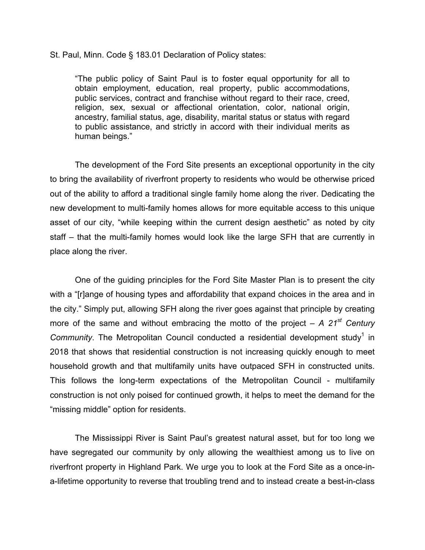St. Paul, Minn. Code § 183.01 Declaration of Policy states:

"The public policy of Saint Paul is to foster equal opportunity for all to obtain employment, education, real property, public accommodations, public services, contract and franchise without regard to their race, creed, religion, sex, sexual or affectional orientation, color, national origin, ancestry, familial status, age, disability, marital status or status with regard to public assistance, and strictly in accord with their individual merits as human beings."

The development of the Ford Site presents an exceptional opportunity in the city to bring the availability of riverfront property to residents who would be otherwise priced out of the ability to afford a traditional single family home along the river. Dedicating the new development to multi-family homes allows for more equitable access to this unique asset of our city, "while keeping within the current design aesthetic" as noted by city staff – that the multi-family homes would look like the large SFH that are currently in place along the river.

One of the guiding principles for the Ford Site Master Plan is to present the city with a "[r]ange of housing types and affordability that expand choices in the area and in the city." Simply put, allowing SFH along the river goes against that principle by creating more of the same and without embracing the motto of the project – *A 21st Century Community*. The Metropolitan Council conducted a residential development study<sup>1</sup> in 2018 that shows that residential construction is not increasing quickly enough to meet household growth and that multifamily units have outpaced SFH in constructed units. This follows the long-term expectations of the Metropolitan Council - multifamily construction is not only poised for continued growth, it helps to meet the demand for the "missing middle" option for residents.

The Mississippi River is Saint Paul's greatest natural asset, but for too long we have segregated our community by only allowing the wealthiest among us to live on riverfront property in Highland Park. We urge you to look at the Ford Site as a once-ina-lifetime opportunity to reverse that troubling trend and to instead create a best-in-class